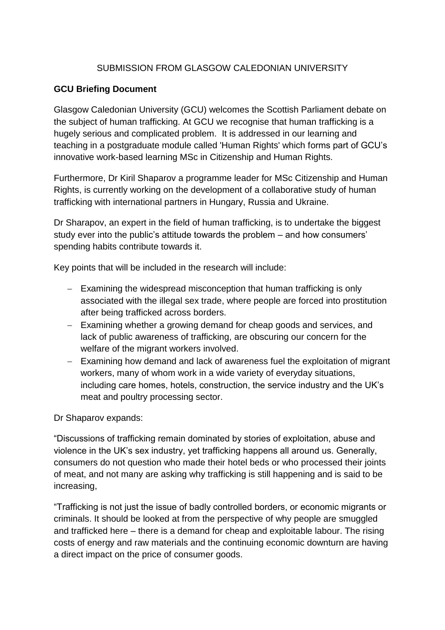## SUBMISSION FROM GLASGOW CALEDONIAN UNIVERSITY

## **GCU Briefing Document**

Glasgow Caledonian University (GCU) welcomes the Scottish Parliament debate on the subject of human trafficking. At GCU we recognise that human trafficking is a hugely serious and complicated problem. It is addressed in our learning and teaching in a postgraduate module called 'Human Rights' which forms part of GCU's innovative work-based learning MSc in Citizenship and Human Rights.

Furthermore, Dr Kiril Shaparov a programme leader for MSc Citizenship and Human Rights, is currently working on the development of a collaborative study of human trafficking with international partners in Hungary, Russia and Ukraine.

Dr Sharapov, an expert in the field of human trafficking, is to undertake the biggest study ever into the public's attitude towards the problem – and how consumers' spending habits contribute towards it.

Key points that will be included in the research will include:

- Examining the widespread misconception that human trafficking is only associated with the illegal sex trade, where people are forced into prostitution after being trafficked across borders.
- Examining whether a growing demand for cheap goods and services, and lack of public awareness of trafficking, are obscuring our concern for the welfare of the migrant workers involved.
- Examining how demand and lack of awareness fuel the exploitation of migrant workers, many of whom work in a wide variety of everyday situations, including care homes, hotels, construction, the service industry and the UK's meat and poultry processing sector.

Dr Shaparov expands:

"Discussions of trafficking remain dominated by stories of exploitation, abuse and violence in the UK's sex industry, yet trafficking happens all around us. Generally, consumers do not question who made their hotel beds or who processed their joints of meat, and not many are asking why trafficking is still happening and is said to be increasing,

"Trafficking is not just the issue of badly controlled borders, or economic migrants or criminals. It should be looked at from the perspective of why people are smuggled and trafficked here – there is a demand for cheap and exploitable labour. The rising costs of energy and raw materials and the continuing economic downturn are having a direct impact on the price of consumer goods.